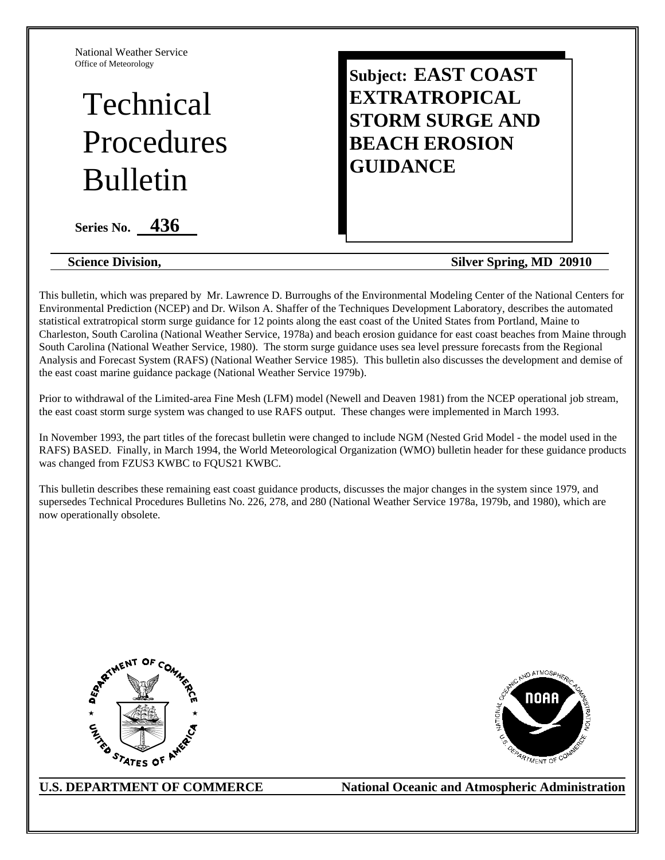National Weather Service Office of Meteorology

# Technical Procedures Bulletin

**Series No. 436** 

# **Subject: EAST COAST EXTRATROPICAL STORM SURGE AND BEACH EROSION GUIDANCE**

#### **Science Division,** Silver Spring, MD 20910

This bulletin, which was prepared by Mr. Lawrence D. Burroughs of the Environmental Modeling Center of the National Centers for Environmental Prediction (NCEP) and Dr. Wilson A. Shaffer of the Techniques Development Laboratory, describes the automated statistical extratropical storm surge guidance for 12 points along the east coast of the United States from Portland, Maine to Charleston, South Carolina (National Weather Service, 1978a) and beach erosion guidance for east coast beaches from Maine through South Carolina (National Weather Service, 1980). The storm surge guidance uses sea level pressure forecasts from the Regional Analysis and Forecast System (RAFS) (National Weather Service 1985). This bulletin also discusses the development and demise of the east coast marine guidance package (National Weather Service 1979b).

Prior to withdrawal of the Limited-area Fine Mesh (LFM) model (Newell and Deaven 1981) from the NCEP operational job stream, the east coast storm surge system was changed to use RAFS output. These changes were implemented in March 1993.

In November 1993, the part titles of the forecast bulletin were changed to include NGM (Nested Grid Model - the model used in the RAFS) BASED. Finally, in March 1994, the World Meteorological Organization (WMO) bulletin header for these guidance products was changed from FZUS3 KWBC to FQUS21 KWBC.

This bulletin describes these remaining east coast guidance products, discusses the major changes in the system since 1979, and supersedes Technical Procedures Bulletins No. 226, 278, and 280 (National Weather Service 1978a, 1979b, and 1980), which are now operationally obsolete.





U.S. DEPARTMENT OF COMMERCE National Oceanic and Atmospheric Administration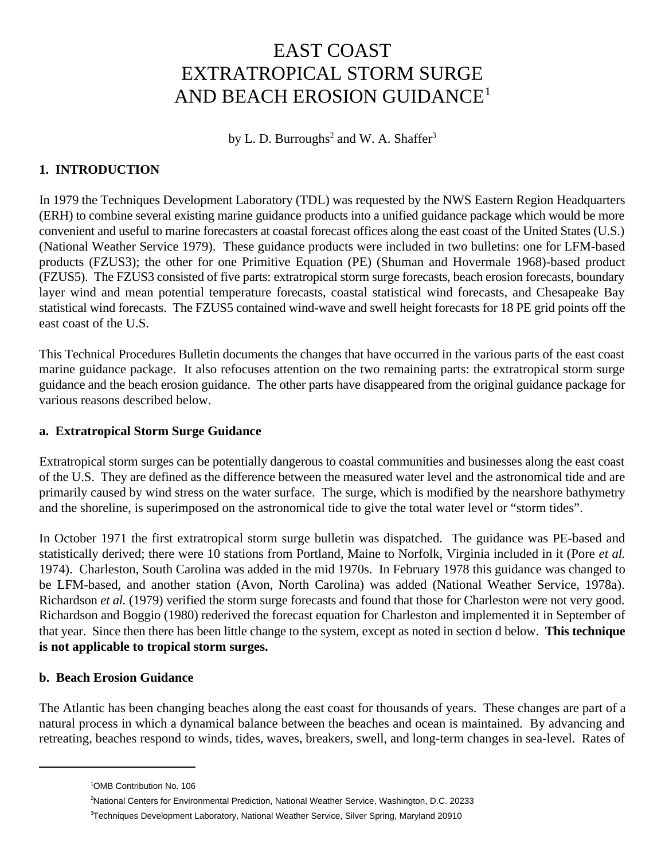## EAST COAST EXTRATROPICAL STORM SURGE AND BEACH EROSION GUIDANCE1

by L. D. Burroughs<sup>2</sup> and W. A. Shaffer<sup>3</sup>

#### **1. INTRODUCTION**

In 1979 the Techniques Development Laboratory (TDL) was requested by the NWS Eastern Region Headquarters (ERH) to combine several existing marine guidance products into a unified guidance package which would be more convenient and useful to marine forecasters at coastal forecast offices along the east coast of the United States (U.S.) (National Weather Service 1979). These guidance products were included in two bulletins: one for LFM-based products (FZUS3); the other for one Primitive Equation (PE) (Shuman and Hovermale 1968)-based product (FZUS5). The FZUS3 consisted of five parts: extratropical storm surge forecasts, beach erosion forecasts, boundary layer wind and mean potential temperature forecasts, coastal statistical wind forecasts, and Chesapeake Bay statistical wind forecasts. The FZUS5 contained wind-wave and swell height forecasts for 18 PE grid points off the east coast of the U.S.

This Technical Procedures Bulletin documents the changes that have occurred in the various parts of the east coast marine guidance package. It also refocuses attention on the two remaining parts: the extratropical storm surge guidance and the beach erosion guidance. The other parts have disappeared from the original guidance package for various reasons described below.

#### **a. Extratropical Storm Surge Guidance**

Extratropical storm surges can be potentially dangerous to coastal communities and businesses along the east coast of the U.S. They are defined as the difference between the measured water level and the astronomical tide and are primarily caused by wind stress on the water surface. The surge, which is modified by the nearshore bathymetry and the shoreline, is superimposed on the astronomical tide to give the total water level or "storm tides".

In October 1971 the first extratropical storm surge bulletin was dispatched. The guidance was PE-based and statistically derived; there were 10 stations from Portland, Maine to Norfolk, Virginia included in it (Pore *et al.* 1974). Charleston, South Carolina was added in the mid 1970s. In February 1978 this guidance was changed to be LFM-based, and another station (Avon, North Carolina) was added (National Weather Service, 1978a). Richardson *et al.* (1979) verified the storm surge forecasts and found that those for Charleston were not very good. Richardson and Boggio (1980) rederived the forecast equation for Charleston and implemented it in September of that year. Since then there has been little change to the system, except as noted in section d below. **This technique is not applicable to tropical storm surges.**

#### **b. Beach Erosion Guidance**

The Atlantic has been changing beaches along the east coast for thousands of years. These changes are part of a natural process in which a dynamical balance between the beaches and ocean is maintained. By advancing and retreating, beaches respond to winds, tides, waves, breakers, swell, and long-term changes in sea-level. Rates of

<sup>&</sup>lt;sup>1</sup>OMB Contribution No. 106

<sup>&</sup>lt;sup>2</sup>National Centers for Environmental Prediction, National Weather Service, Washington, D.C. 20233

<sup>&</sup>lt;sup>3</sup>Techniques Development Laboratory, National Weather Service, Silver Spring, Maryland 20910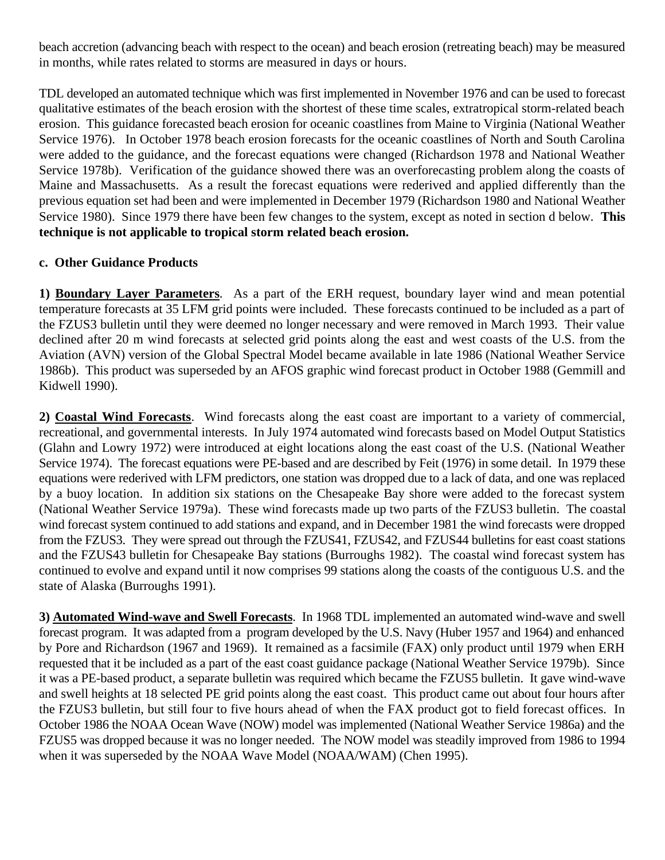beach accretion (advancing beach with respect to the ocean) and beach erosion (retreating beach) may be measured in months, while rates related to storms are measured in days or hours.

TDL developed an automated technique which was first implemented in November 1976 and can be used to forecast qualitative estimates of the beach erosion with the shortest of these time scales, extratropical storm-related beach erosion. This guidance forecasted beach erosion for oceanic coastlines from Maine to Virginia (National Weather Service 1976). In October 1978 beach erosion forecasts for the oceanic coastlines of North and South Carolina were added to the guidance, and the forecast equations were changed (Richardson 1978 and National Weather Service 1978b). Verification of the guidance showed there was an overforecasting problem along the coasts of Maine and Massachusetts. As a result the forecast equations were rederived and applied differently than the previous equation set had been and were implemented in December 1979 (Richardson 1980 and National Weather Service 1980). Since 1979 there have been few changes to the system, except as noted in section d below. **This technique is not applicable to tropical storm related beach erosion.**

#### **c. Other Guidance Products**

**1) Boundary Layer Parameters**. As a part of the ERH request, boundary layer wind and mean potential temperature forecasts at 35 LFM grid points were included. These forecasts continued to be included as a part of the FZUS3 bulletin until they were deemed no longer necessary and were removed in March 1993. Their value declined after 20 m wind forecasts at selected grid points along the east and west coasts of the U.S. from the Aviation (AVN) version of the Global Spectral Model became available in late 1986 (National Weather Service 1986b). This product was superseded by an AFOS graphic wind forecast product in October 1988 (Gemmill and Kidwell 1990).

**2) Coastal Wind Forecasts**. Wind forecasts along the east coast are important to a variety of commercial, recreational, and governmental interests. In July 1974 automated wind forecasts based on Model Output Statistics (Glahn and Lowry 1972) were introduced at eight locations along the east coast of the U.S. (National Weather Service 1974). The forecast equations were PE-based and are described by Feit (1976) in some detail. In 1979 these equations were rederived with LFM predictors, one station was dropped due to a lack of data, and one was replaced by a buoy location. In addition six stations on the Chesapeake Bay shore were added to the forecast system (National Weather Service 1979a). These wind forecasts made up two parts of the FZUS3 bulletin. The coastal wind forecast system continued to add stations and expand, and in December 1981 the wind forecasts were dropped from the FZUS3. They were spread out through the FZUS41, FZUS42, and FZUS44 bulletins for east coast stations and the FZUS43 bulletin for Chesapeake Bay stations (Burroughs 1982). The coastal wind forecast system has continued to evolve and expand until it now comprises 99 stations along the coasts of the contiguous U.S. and the state of Alaska (Burroughs 1991).

**3) Automated Wind-wave and Swell Forecasts**. In 1968 TDL implemented an automated wind-wave and swell forecast program. It was adapted from a program developed by the U.S. Navy (Huber 1957 and 1964) and enhanced by Pore and Richardson (1967 and 1969). It remained as a facsimile (FAX) only product until 1979 when ERH requested that it be included as a part of the east coast guidance package (National Weather Service 1979b). Since it was a PE-based product, a separate bulletin was required which became the FZUS5 bulletin. It gave wind-wave and swell heights at 18 selected PE grid points along the east coast. This product came out about four hours after the FZUS3 bulletin, but still four to five hours ahead of when the FAX product got to field forecast offices. In October 1986 the NOAA Ocean Wave (NOW) model was implemented (National Weather Service 1986a) and the FZUS5 was dropped because it was no longer needed. The NOW model was steadily improved from 1986 to 1994 when it was superseded by the NOAA Wave Model (NOAA/WAM) (Chen 1995).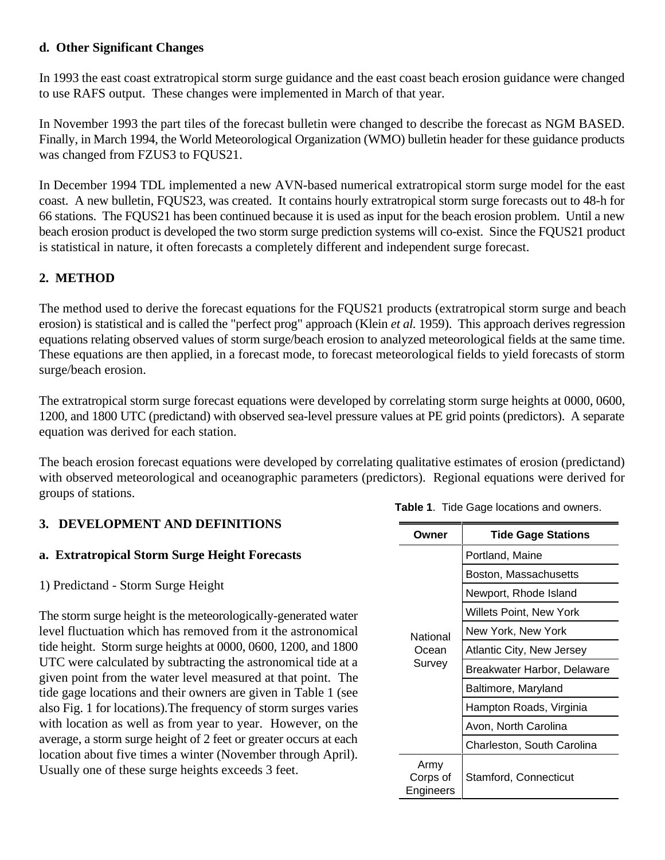#### **d. Other Significant Changes**

In 1993 the east coast extratropical storm surge guidance and the east coast beach erosion guidance were changed to use RAFS output. These changes were implemented in March of that year.

In November 1993 the part tiles of the forecast bulletin were changed to describe the forecast as NGM BASED. Finally, in March 1994, the World Meteorological Organization (WMO) bulletin header for these guidance products was changed from FZUS3 to FQUS21.

In December 1994 TDL implemented a new AVN-based numerical extratropical storm surge model for the east coast. A new bulletin, FQUS23, was created. It contains hourly extratropical storm surge forecasts out to 48-h for 66 stations. The FQUS21 has been continued because it is used as input for the beach erosion problem. Until a new beach erosion product is developed the two storm surge prediction systems will co-exist. Since the FQUS21 product is statistical in nature, it often forecasts a completely different and independent surge forecast.

#### **2. METHOD**

The method used to derive the forecast equations for the FQUS21 products (extratropical storm surge and beach erosion) is statistical and is called the "perfect prog" approach (Klein *et al.* 1959). This approach derives regression equations relating observed values of storm surge/beach erosion to analyzed meteorological fields at the same time. These equations are then applied, in a forecast mode, to forecast meteorological fields to yield forecasts of storm surge/beach erosion.

The extratropical storm surge forecast equations were developed by correlating storm surge heights at 0000, 0600, 1200, and 1800 UTC (predictand) with observed sea-level pressure values at PE grid points (predictors). A separate equation was derived for each station.

The beach erosion forecast equations were developed by correlating qualitative estimates of erosion (predictand) with observed meteorological and oceanographic parameters (predictors). Regional equations were derived for groups of stations.

#### **3. DEVELOPMENT AND DEFINITIONS**

#### **a. Extratropical Storm Surge Height Forecasts**

1) Predictand - Storm Surge Height

The storm surge height is the meteorologically-generated water level fluctuation which has removed from it the astronomical tide height. Storm surge heights at 0000, 0600, 1200, and 1800 UTC were calculated by subtracting the astronomical tide at a given point from the water level measured at that point. The tide gage locations and their owners are given in Table 1 (see also Fig. 1 for locations).The frequency of storm surges varies with location as well as from year to year. However, on the average, a storm surge height of 2 feet or greater occurs at each location about five times a winter (November through April). Usually one of these surge heights exceeds 3 feet.

| Owner                         | <b>Tide Gage Stations</b>        |  |  |
|-------------------------------|----------------------------------|--|--|
|                               | Portland, Maine                  |  |  |
|                               | Boston, Massachusetts            |  |  |
|                               | Newport, Rhode Island            |  |  |
|                               | Willets Point, New York          |  |  |
| National                      | New York, New York               |  |  |
| Ocean<br>Survey               | <b>Atlantic City, New Jersey</b> |  |  |
|                               | Breakwater Harbor, Delaware      |  |  |
|                               | Baltimore, Maryland              |  |  |
|                               | Hampton Roads, Virginia          |  |  |
|                               | Avon, North Carolina             |  |  |
|                               | Charleston, South Carolina       |  |  |
| Army<br>Corps of<br>Engineers | Stamford, Connecticut            |  |  |

**Table 1**. Tide Gage locations and owners.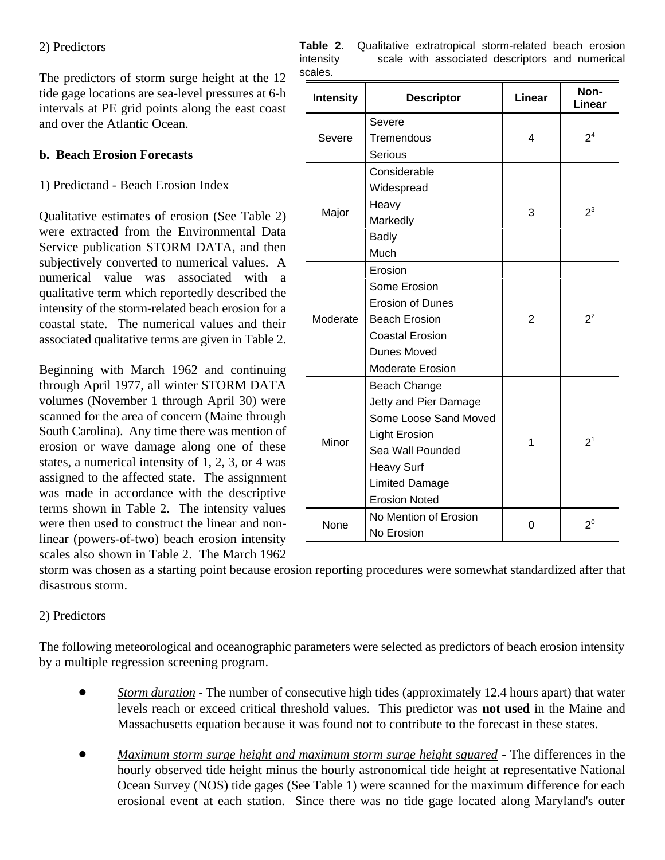#### 2) Predictors

The predictors of storm surge height at the 12 tide gage locations are sea-level pressures at 6-h intervals at PE grid points along the east coast and over the Atlantic Ocean.

#### **b. Beach Erosion Forecasts**

#### 1) Predictand - Beach Erosion Index

Qualitative estimates of erosion (See Table 2) were extracted from the Environmental Data Service publication STORM DATA, and then subjectively converted to numerical values. A numerical value was associated with a qualitative term which reportedly described the intensity of the storm-related beach erosion for a coastal state. The numerical values and their associated qualitative terms are given in Table 2.

Beginning with March 1962 and continuing through April 1977, all winter STORM DATA volumes (November 1 through April 30) were scanned for the area of concern (Maine through South Carolina). Any time there was mention of erosion or wave damage along one of these states, a numerical intensity of 1, 2, 3, or 4 was assigned to the affected state. The assignment was made in accordance with the descriptive terms shown in Table 2. The intensity values were then used to construct the linear and nonlinear (powers-of-two) beach erosion intensity scales also shown in Table 2. The March 1962

| <b>Intensity</b> | <b>Descriptor</b>       | Linear         | Non-<br>Linear |  |
|------------------|-------------------------|----------------|----------------|--|
|                  | Severe                  |                | 2 <sup>4</sup> |  |
| Severe           | Tremendous              | 4              |                |  |
|                  | <b>Serious</b>          |                |                |  |
|                  | Considerable            |                |                |  |
|                  | Widespread              |                |                |  |
|                  | Heavy                   | 3              | $2^3$          |  |
| Major            | Markedly                |                |                |  |
|                  | <b>Badly</b>            |                |                |  |
|                  | Much                    |                |                |  |
|                  | Erosion                 |                |                |  |
|                  | Some Erosion            |                |                |  |
|                  | <b>Erosion of Dunes</b> |                |                |  |
| Moderate         | <b>Beach Erosion</b>    | $\overline{2}$ | $2^2$          |  |
|                  | <b>Coastal Erosion</b>  |                |                |  |
|                  | Dunes Moved             |                |                |  |
|                  | <b>Moderate Erosion</b> |                |                |  |
| Minor            | Beach Change            |                |                |  |
|                  | Jetty and Pier Damage   |                |                |  |
|                  | Some Loose Sand Moved   |                | 2 <sup>1</sup> |  |
|                  | <b>Light Erosion</b>    | 1              |                |  |
|                  | Sea Wall Pounded        |                |                |  |
|                  | <b>Heavy Surf</b>       |                |                |  |
|                  | <b>Limited Damage</b>   |                |                |  |
|                  | <b>Erosion Noted</b>    |                |                |  |
| None             | No Mention of Erosion   | 0              | $2^0$          |  |
|                  | No Erosion              |                |                |  |

|           | Table 2. Qualitative extratropical storm-related beach erosion |
|-----------|----------------------------------------------------------------|
| intensity | scale with associated descriptors and numerical                |
| scales.   |                                                                |

storm was chosen as a starting point because erosion reporting procedures were somewhat standardized after that disastrous storm.

#### 2) Predictors

The following meteorological and oceanographic parameters were selected as predictors of beach erosion intensity by a multiple regression screening program.

- $\bullet$  *Storm duration* - The number of consecutive high tides (approximately 12.4 hours apart) that water levels reach or exceed critical threshold values. This predictor was **not used** in the Maine and Massachusetts equation because it was found not to contribute to the forecast in these states.
- $\bullet$  *Maximum storm surge height and maximum storm surge height squared* - The differences in the hourly observed tide height minus the hourly astronomical tide height at representative National Ocean Survey (NOS) tide gages (See Table 1) were scanned for the maximum difference for each erosional event at each station. Since there was no tide gage located along Maryland's outer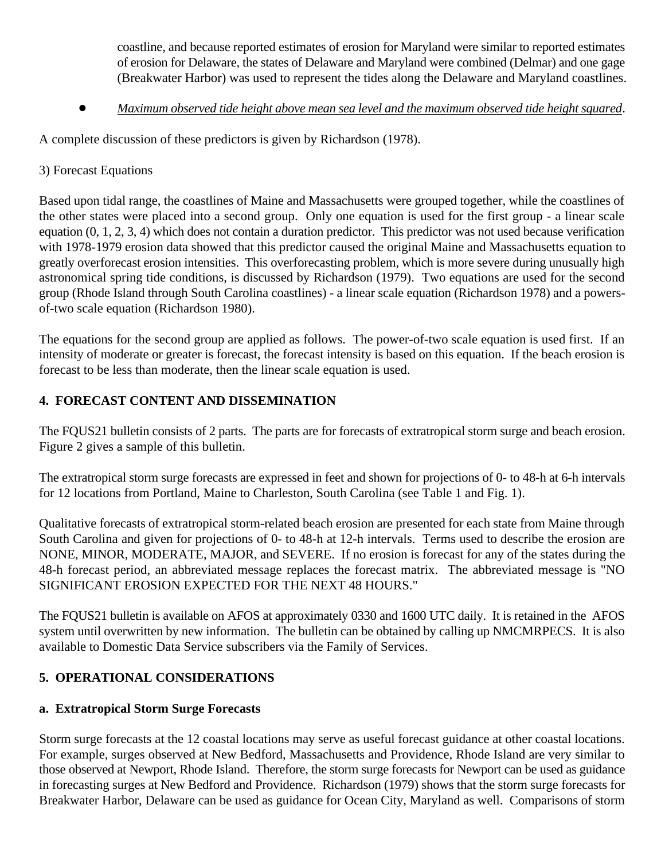coastline, and because reported estimates of erosion for Maryland were similar to reported estimates of erosion for Delaware, the states of Delaware and Maryland were combined (Delmar) and one gage (Breakwater Harbor) was used to represent the tides along the Delaware and Maryland coastlines.

 $\bullet$ *Maximum observed tide height above mean sea level and the maximum observed tide height squared*.

A complete discussion of these predictors is given by Richardson (1978).

#### 3) Forecast Equations

Based upon tidal range, the coastlines of Maine and Massachusetts were grouped together, while the coastlines of the other states were placed into a second group. Only one equation is used for the first group - a linear scale equation (0, 1, 2, 3, 4) which does not contain a duration predictor. This predictor was not used because verification with 1978-1979 erosion data showed that this predictor caused the original Maine and Massachusetts equation to greatly overforecast erosion intensities. This overforecasting problem, which is more severe during unusually high astronomical spring tide conditions, is discussed by Richardson (1979). Two equations are used for the second group (Rhode Island through South Carolina coastlines) - a linear scale equation (Richardson 1978) and a powersof-two scale equation (Richardson 1980).

The equations for the second group are applied as follows. The power-of-two scale equation is used first. If an intensity of moderate or greater is forecast, the forecast intensity is based on this equation. If the beach erosion is forecast to be less than moderate, then the linear scale equation is used.

### **4. FORECAST CONTENT AND DISSEMINATION**

The FQUS21 bulletin consists of 2 parts. The parts are for forecasts of extratropical storm surge and beach erosion. Figure 2 gives a sample of this bulletin.

The extratropical storm surge forecasts are expressed in feet and shown for projections of 0- to 48-h at 6-h intervals for 12 locations from Portland, Maine to Charleston, South Carolina (see Table 1 and Fig. 1).

Qualitative forecasts of extratropical storm-related beach erosion are presented for each state from Maine through South Carolina and given for projections of 0- to 48-h at 12-h intervals. Terms used to describe the erosion are NONE, MINOR, MODERATE, MAJOR, and SEVERE. If no erosion is forecast for any of the states during the 48-h forecast period, an abbreviated message replaces the forecast matrix. The abbreviated message is "NO SIGNIFICANT EROSION EXPECTED FOR THE NEXT 48 HOURS."

The FQUS21 bulletin is available on AFOS at approximately 0330 and 1600 UTC daily. It is retained in the AFOS system until overwritten by new information. The bulletin can be obtained by calling up NMCMRPECS. It is also available to Domestic Data Service subscribers via the Family of Services.

### **5. OPERATIONAL CONSIDERATIONS**

#### **a. Extratropical Storm Surge Forecasts**

Storm surge forecasts at the 12 coastal locations may serve as useful forecast guidance at other coastal locations. For example, surges observed at New Bedford, Massachusetts and Providence, Rhode Island are very similar to those observed at Newport, Rhode Island. Therefore, the storm surge forecasts for Newport can be used as guidance in forecasting surges at New Bedford and Providence. Richardson (1979) shows that the storm surge forecasts for Breakwater Harbor, Delaware can be used as guidance for Ocean City, Maryland as well. Comparisons of storm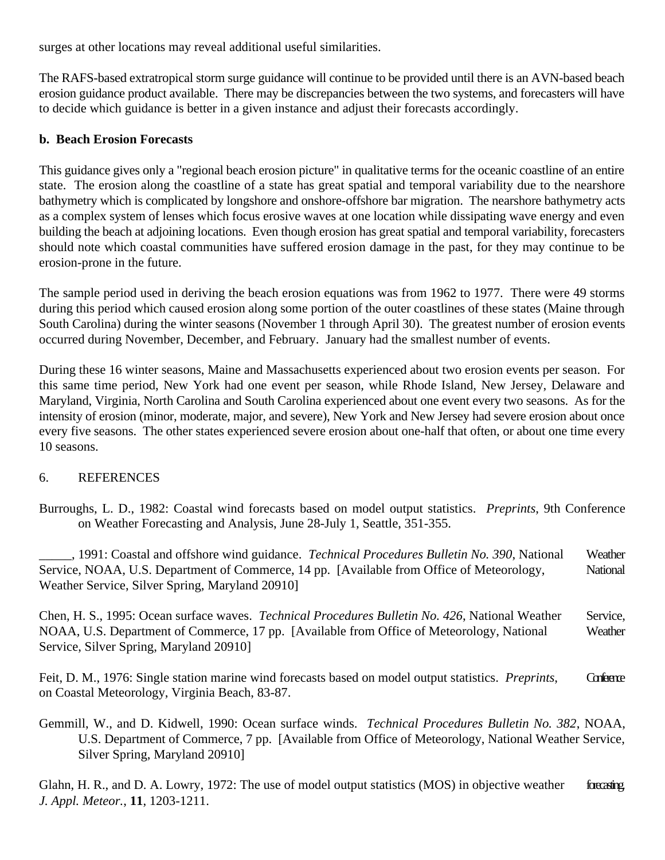surges at other locations may reveal additional useful similarities.

The RAFS-based extratropical storm surge guidance will continue to be provided until there is an AVN-based beach erosion guidance product available. There may be discrepancies between the two systems, and forecasters will have to decide which guidance is better in a given instance and adjust their forecasts accordingly.

#### **b. Beach Erosion Forecasts**

This guidance gives only a "regional beach erosion picture" in qualitative terms for the oceanic coastline of an entire state. The erosion along the coastline of a state has great spatial and temporal variability due to the nearshore bathymetry which is complicated by longshore and onshore-offshore bar migration. The nearshore bathymetry acts as a complex system of lenses which focus erosive waves at one location while dissipating wave energy and even building the beach at adjoining locations. Even though erosion has great spatial and temporal variability, forecasters should note which coastal communities have suffered erosion damage in the past, for they may continue to be erosion-prone in the future.

The sample period used in deriving the beach erosion equations was from 1962 to 1977. There were 49 storms during this period which caused erosion along some portion of the outer coastlines of these states (Maine through South Carolina) during the winter seasons (November 1 through April 30). The greatest number of erosion events occurred during November, December, and February. January had the smallest number of events.

During these 16 winter seasons, Maine and Massachusetts experienced about two erosion events per season. For this same time period, New York had one event per season, while Rhode Island, New Jersey, Delaware and Maryland, Virginia, North Carolina and South Carolina experienced about one event every two seasons. As for the intensity of erosion (minor, moderate, major, and severe), New York and New Jersey had severe erosion about once every five seasons. The other states experienced severe erosion about one-half that often, or about one time every 10 seasons.

#### 6. REFERENCES

Burroughs, L. D., 1982: Coastal wind forecasts based on model output statistics. *Preprints*, 9th Conference on Weather Forecasting and Analysis, June 28-July 1, Seattle, 351-355.

\_\_\_\_\_, 1991: Coastal and offshore wind guidance. *Technical Procedures Bulletin No. 390*, National Weather Service, NOAA, U.S. Department of Commerce, 14 pp. [Available from Office of Meteorology, National Weather Service, Silver Spring, Maryland 20910]

Chen, H. S., 1995: Ocean surface waves. *Technical Procedures Bulletin No. 426*, National Weather Service, NOAA, U.S. Department of Commerce, 17 pp. [Available from Office of Meteorology, National Weather Service, Silver Spring, Maryland 20910]

Feit, D. M., 1976: Single station marine wind forecasts based on model output statistics. *Preprints*, Confermence on Coastal Meteorology, Virginia Beach, 83-87.

Gemmill, W., and D. Kidwell, 1990: Ocean surface winds. *Technical Procedures Bulletin No. 382*, NOAA, U.S. Department of Commerce, 7 pp. [Available from Office of Meteorology, National Weather Service, Silver Spring, Maryland 20910]

Glahn, H. R., and D. A. Lowry, 1972: The use of model output statistics (MOS) in objective weather forecasting. *J. Appl. Meteor.*, **11**, 1203-1211.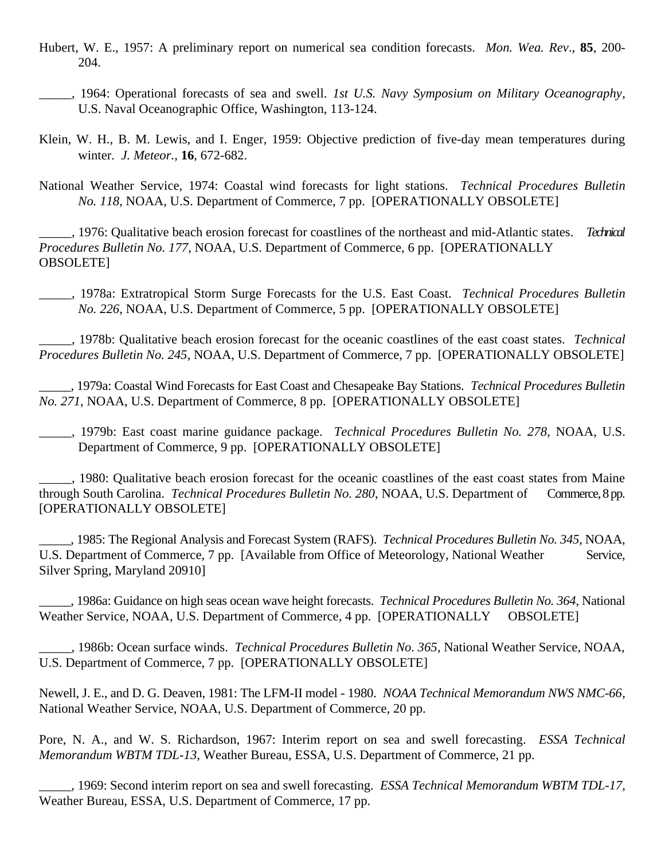- Hubert, W. E., 1957: A preliminary report on numerical sea condition forecasts. *Mon. Wea. Rev*., **85**, 200- 204.
- \_\_\_\_\_, 1964: Operational forecasts of sea and swell. *1st U.S. Navy Symposium on Military Oceanography*, U.S. Naval Oceanographic Office, Washington, 113-124.
- Klein, W. H., B. M. Lewis, and I. Enger, 1959: Objective prediction of five-day mean temperatures during winter. *J. Meteor.*, **16**, 672-682.

National Weather Service, 1974: Coastal wind forecasts for light stations. *Technical Procedures Bulletin No. 118*, NOAA, U.S. Department of Commerce, 7 pp. [OPERATIONALLY OBSOLETE]

\_\_\_\_\_, 1976: Qualitative beach erosion forecast for coastlines of the northeast and mid-Atlantic states. *Technical Procedures Bulletin No. 177*, NOAA, U.S. Department of Commerce, 6 pp. [OPERATIONALLY OBSOLETE]

\_\_\_\_\_, 1978a: Extratropical Storm Surge Forecasts for the U.S. East Coast. *Technical Procedures Bulletin No. 226*, NOAA, U.S. Department of Commerce, 5 pp. [OPERATIONALLY OBSOLETE]

\_\_\_\_\_, 1978b: Qualitative beach erosion forecast for the oceanic coastlines of the east coast states. *Technical Procedures Bulletin No. 245*, NOAA, U.S. Department of Commerce, 7 pp. [OPERATIONALLY OBSOLETE]

\_\_\_\_\_, 1979a: Coastal Wind Forecasts for East Coast and Chesapeake Bay Stations. *Technical Procedures Bulletin No. 271*, NOAA, U.S. Department of Commerce, 8 pp. [OPERATIONALLY OBSOLETE]

\_\_\_\_\_, 1979b: East coast marine guidance package. *Technical Procedures Bulletin No. 278*, NOAA, U.S. Department of Commerce, 9 pp. [OPERATIONALLY OBSOLETE]

\_\_\_\_\_, 1980: Qualitative beach erosion forecast for the oceanic coastlines of the east coast states from Maine through South Carolina. *Technical Procedures Bulletin No. 280*, NOAA, U.S. Department of Commerce, 8 pp. [OPERATIONALLY OBSOLETE]

\_\_\_\_\_, 1985: The Regional Analysis and Forecast System (RAFS). *Technical Procedures Bulletin No. 345*, NOAA, U.S. Department of Commerce, 7 pp. [Available from Office of Meteorology, National Weather Service, Silver Spring, Maryland 20910]

\_\_\_\_\_, 1986a: Guidance on high seas ocean wave height forecasts. *Technical Procedures Bulletin No. 364*, National Weather Service, NOAA, U.S. Department of Commerce, 4 pp. [OPERATIONALLY OBSOLETE]

\_\_\_\_\_, 1986b: Ocean surface winds. *Technical Procedures Bulletin No. 365*, National Weather Service, NOAA, U.S. Department of Commerce, 7 pp. [OPERATIONALLY OBSOLETE]

Newell, J. E., and D. G. Deaven, 1981: The LFM-II model - 1980. *NOAA Technical Memorandum NWS NMC-66*, National Weather Service, NOAA, U.S. Department of Commerce, 20 pp.

Pore, N. A., and W. S. Richardson, 1967: Interim report on sea and swell forecasting. *ESSA Technical Memorandum WBTM TDL-13*, Weather Bureau, ESSA, U.S. Department of Commerce, 21 pp.

\_\_\_\_\_, 1969: Second interim report on sea and swell forecasting. *ESSA Technical Memorandum WBTM TDL-17*, Weather Bureau, ESSA, U.S. Department of Commerce, 17 pp.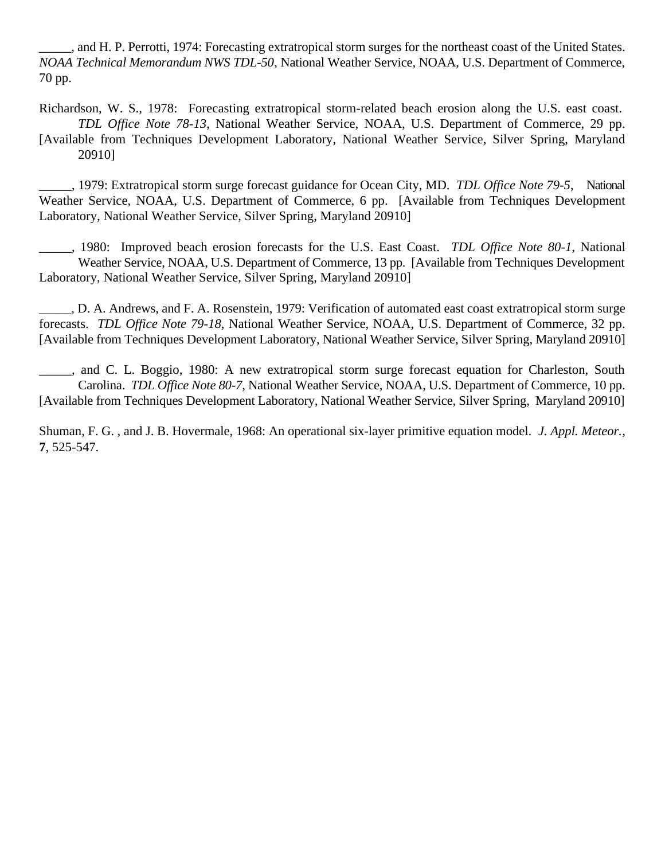\_\_\_\_\_, and H. P. Perrotti, 1974: Forecasting extratropical storm surges for the northeast coast of the United States. *NOAA Technical Memorandum NWS TDL-50*, National Weather Service, NOAA, U.S. Department of Commerce, 70 pp.

Richardson, W. S., 1978: Forecasting extratropical storm-related beach erosion along the U.S. east coast. *TDL Office Note 78-13*, National Weather Service, NOAA, U.S. Department of Commerce, 29 pp. [Available from Techniques Development Laboratory, National Weather Service, Silver Spring, Maryland 20910]

\_\_\_\_\_, 1979: Extratropical storm surge forecast guidance for Ocean City, MD. *TDL Office Note 79-5*, National Weather Service, NOAA, U.S. Department of Commerce, 6 pp. [Available from Techniques Development Laboratory, National Weather Service, Silver Spring, Maryland 20910]

\_\_\_\_\_, 1980: Improved beach erosion forecasts for the U.S. East Coast. *TDL Office Note 80-1*, National Weather Service, NOAA, U.S. Department of Commerce, 13 pp. [Available from Techniques Development Laboratory, National Weather Service, Silver Spring, Maryland 20910]

\_\_\_\_\_, D. A. Andrews, and F. A. Rosenstein, 1979: Verification of automated east coast extratropical storm surge forecasts. *TDL Office Note 79-18*, National Weather Service, NOAA, U.S. Department of Commerce, 32 pp. [Available from Techniques Development Laboratory, National Weather Service, Silver Spring, Maryland 20910]

\_\_\_\_\_, and C. L. Boggio, 1980: A new extratropical storm surge forecast equation for Charleston, South Carolina. *TDL Office Note 80-7*, National Weather Service, NOAA, U.S. Department of Commerce, 10 pp. [Available from Techniques Development Laboratory, National Weather Service, Silver Spring, Maryland 20910]

Shuman, F. G. , and J. B. Hovermale, 1968: An operational six-layer primitive equation model. *J. Appl. Meteor.*, **7**, 525-547.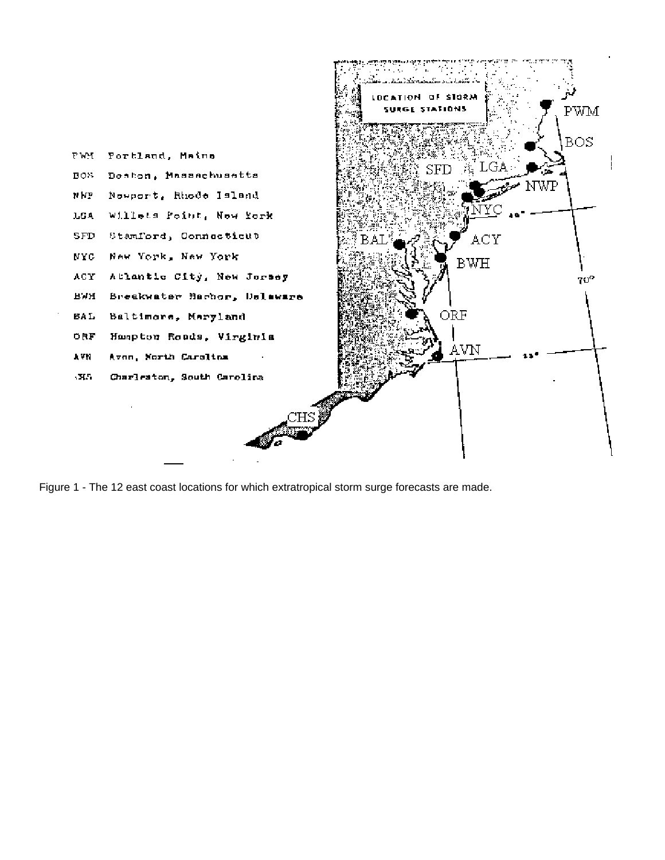

Figure 1 - The 12 east coast locations for which extratropical storm surge forecasts are made.